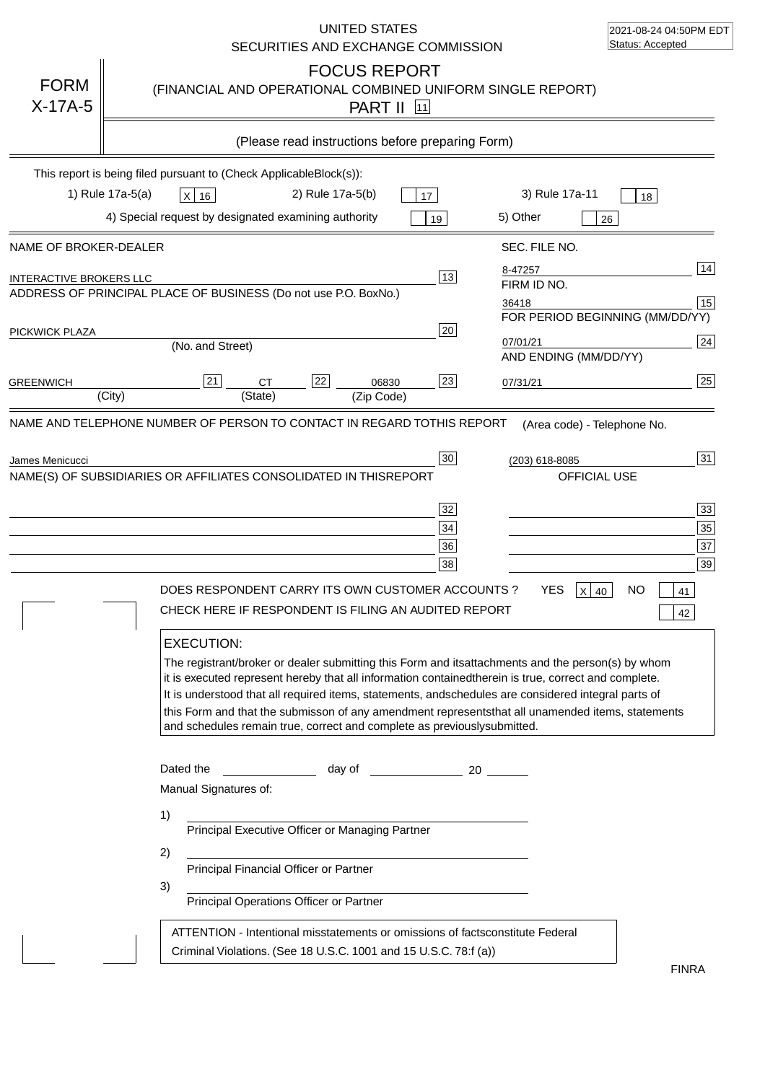|                                                         | UNITED STATES<br>SECURITIES AND EXCHANGE COMMISSION                                                                                                                                                                                                                                                                                                                                                                                                                                                                                                                                                                                                                                 | 2021-08-24 04:50PM EDT<br>Status: Accepted                                                                                                         |
|---------------------------------------------------------|-------------------------------------------------------------------------------------------------------------------------------------------------------------------------------------------------------------------------------------------------------------------------------------------------------------------------------------------------------------------------------------------------------------------------------------------------------------------------------------------------------------------------------------------------------------------------------------------------------------------------------------------------------------------------------------|----------------------------------------------------------------------------------------------------------------------------------------------------|
| <b>FORM</b><br>$X-17A-5$                                | <b>FOCUS REPORT</b><br>(FINANCIAL AND OPERATIONAL COMBINED UNIFORM SINGLE REPORT)<br><b>PART II</b> 11                                                                                                                                                                                                                                                                                                                                                                                                                                                                                                                                                                              |                                                                                                                                                    |
|                                                         | (Please read instructions before preparing Form)                                                                                                                                                                                                                                                                                                                                                                                                                                                                                                                                                                                                                                    |                                                                                                                                                    |
|                                                         | This report is being filed pursuant to (Check Applicable<br>$Block(s)$ :<br>1) Rule 17a-5(a)<br>2) Rule 17a-5(b)<br>3) Rule 17a-11<br>X 16<br>17<br>4) Special request by designated examining authority<br>5) Other                                                                                                                                                                                                                                                                                                                                                                                                                                                                | 18                                                                                                                                                 |
|                                                         | 19                                                                                                                                                                                                                                                                                                                                                                                                                                                                                                                                                                                                                                                                                  | 26                                                                                                                                                 |
| NAME OF BROKER-DEALER<br><b>INTERACTIVE BROKERS LLC</b> | SEC. FILE NO.<br>8-47257<br>13<br>FIRM ID NO.<br>ADDRESS OF PRINCIPAL PLACE OF BUSINESS (Do not use P.O. Box<br>No.)<br>36418                                                                                                                                                                                                                                                                                                                                                                                                                                                                                                                                                       | 14<br>15                                                                                                                                           |
| PICKWICK PLAZA                                          | 20<br>07/01/21<br>(No. and Street)<br>AND ENDING (MM/DD/YY)                                                                                                                                                                                                                                                                                                                                                                                                                                                                                                                                                                                                                         | FOR PERIOD BEGINNING (MM/DD/YY)<br>24                                                                                                              |
| <b>GREENWICH</b>                                        | 22<br>23<br>21<br><b>CT</b><br>06830<br>07/31/21<br>(State)<br>(City)<br>(Zip Code)                                                                                                                                                                                                                                                                                                                                                                                                                                                                                                                                                                                                 | 25                                                                                                                                                 |
|                                                         | NAME(S) OF SUBSIDIARIES OR AFFILIATES CONSOLIDATED IN THIS<br><b>REPORT</b><br>32<br>34<br>36<br>38<br>DOES RESPONDENT CARRY ITS OWN CUSTOMER ACCOUNTS ?<br>YES.<br>CHECK HERE IF RESPONDENT IS FILING AN AUDITED REPORT<br><b>EXECUTION:</b><br>The registrant/broker or dealer submitting this Form and its<br>it is executed represent hereby that all information contained<br>therein is true, correct and complete.<br>It is understood that all required items, statements, and<br>schedules are considered integral parts of<br>this Form and that the submisson of any amendment represents<br>and schedules remain true, correct and complete as previously<br>submitted. | OFFICIAL USE<br>33<br>35<br>37<br>39<br>x<br>NΟ<br>40<br>41<br>42<br>attachments and the person(s) by whom<br>that all unamended items, statements |
|                                                         | Dated the<br>day of<br>20<br>Manual Signatures of:<br>1)<br>Principal Executive Officer or Managing Partner<br>2)<br>Principal Financial Officer or Partner<br>3)<br>Principal Operations Officer or Partner<br>ATTENTION - Intentional misstatements or omissions of facts<br>constitute Federal<br>Criminal Violations. (See 18 U.S.C. 1001 and 15 U.S.C. 78:f (a)                                                                                                                                                                                                                                                                                                                | <b>FINRA</b>                                                                                                                                       |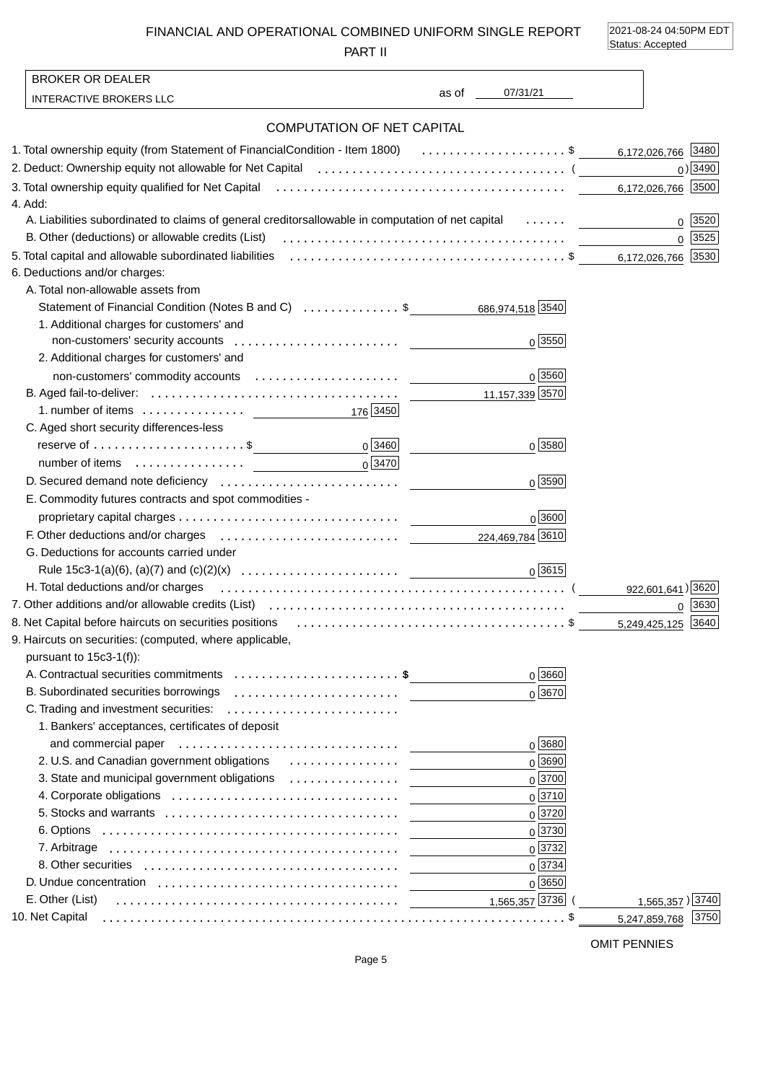FINANCIAL AND OPERATIONAL COMBINED UNIFORM SINGLE REPORT

PART II

2021-08-24 04:50PM EDT Status: Accepted

| <b>BROKER OR DEALER</b>                                                                                                                                                                                                        |                                   |                               |                       |
|--------------------------------------------------------------------------------------------------------------------------------------------------------------------------------------------------------------------------------|-----------------------------------|-------------------------------|-----------------------|
| <b>INTERACTIVE BROKERS LLC</b>                                                                                                                                                                                                 |                                   | 07/31/21<br>as of the control |                       |
|                                                                                                                                                                                                                                | <b>COMPUTATION OF NET CAPITAL</b> |                               |                       |
| 1. Total ownership equity (from Statement of Financial Condition - Item 1800) \$ 6,172,026,766 3480                                                                                                                            |                                   |                               |                       |
| 2. Deduct: Ownership equity not allowable for Net Capital (allocation content content content of the Capital (                                                                                                                 |                                   |                               | $0)$ 3490             |
|                                                                                                                                                                                                                                |                                   |                               | 6,172,026,766 3500    |
| 4. Add:                                                                                                                                                                                                                        |                                   |                               |                       |
| A. Liabilities subordinated to claims of general creditors allowable in computation of net capital                                                                                                                             |                                   |                               | 3520<br>0             |
|                                                                                                                                                                                                                                |                                   |                               | 0 3525                |
|                                                                                                                                                                                                                                |                                   |                               |                       |
| 6. Deductions and/or charges:                                                                                                                                                                                                  |                                   |                               |                       |
| A. Total non-allowable assets from                                                                                                                                                                                             |                                   |                               |                       |
| Statement of Financial Condition (Notes B and C) \$                                                                                                                                                                            |                                   | 686,974,518 3540              |                       |
| 1. Additional charges for customers' and                                                                                                                                                                                       |                                   |                               |                       |
|                                                                                                                                                                                                                                |                                   | 0 3550                        |                       |
| 2. Additional charges for customers' and                                                                                                                                                                                       |                                   |                               |                       |
|                                                                                                                                                                                                                                |                                   | $0\sqrt{3560}$                |                       |
|                                                                                                                                                                                                                                |                                   |                               |                       |
| 1. number of items $\ldots \ldots \ldots \ldots$ 176 3450                                                                                                                                                                      |                                   |                               |                       |
| C. Aged short security differences-less                                                                                                                                                                                        |                                   |                               |                       |
|                                                                                                                                                                                                                                | 0 3460                            | 0 3580                        |                       |
|                                                                                                                                                                                                                                | $0\sqrt{3470}$                    |                               |                       |
|                                                                                                                                                                                                                                |                                   | $0\sqrt{3590}$                |                       |
| E. Commodity futures contracts and spot commodities -                                                                                                                                                                          |                                   |                               |                       |
|                                                                                                                                                                                                                                |                                   | 0 3600                        |                       |
| F. Other deductions and/or charges expansion contracts are the contracted as a contract of the contract of the contract of the contract of the contract of the contract of the contract of the contract of the contract of the |                                   |                               |                       |
| G. Deductions for accounts carried under                                                                                                                                                                                       |                                   |                               |                       |
|                                                                                                                                                                                                                                |                                   | 0 3615                        |                       |
| H. Total deductions and/or charges                                                                                                                                                                                             |                                   |                               | 922,601,641) 3620     |
|                                                                                                                                                                                                                                |                                   |                               | 3630<br>0             |
|                                                                                                                                                                                                                                |                                   |                               | 3640<br>5.249.425.125 |
| 9. Haircuts on securities: (computed, where applicable,                                                                                                                                                                        |                                   |                               |                       |
| pursuant to 15c3-1(f)):                                                                                                                                                                                                        |                                   |                               |                       |
| A. Contractual securities commitments \$                                                                                                                                                                                       |                                   | 0 3660                        |                       |
| B. Subordinated securities borrowings                                                                                                                                                                                          |                                   | $0\sqrt{3670}$                |                       |
| C. Trading and investment securities:                                                                                                                                                                                          |                                   |                               |                       |
| 1. Bankers' acceptances, certificates of deposit                                                                                                                                                                               |                                   |                               |                       |
| and commercial paper (educational commercial paper) and commercial paper                                                                                                                                                       |                                   | $0\sqrt{3680}$                |                       |
|                                                                                                                                                                                                                                |                                   | 0 3690                        |                       |
|                                                                                                                                                                                                                                |                                   | 0 3700                        |                       |
|                                                                                                                                                                                                                                |                                   | $0^{3710}$                    |                       |
|                                                                                                                                                                                                                                |                                   | 0 3720                        |                       |
|                                                                                                                                                                                                                                |                                   | 0 3730                        |                       |
|                                                                                                                                                                                                                                |                                   | $0\sqrt{3732}$                |                       |
| 8. Other securities example and the securities of the securities of the securities of the second securities of the second second second second second second second second second second second second second second second se |                                   | 0 3734                        |                       |
|                                                                                                                                                                                                                                |                                   | 0 3650                        |                       |
| E. Other (List)                                                                                                                                                                                                                |                                   | 1,565,357 3736                | 1,565,357) 3740       |
| 10. Net Capital                                                                                                                                                                                                                |                                   |                               | 3750<br>5,247,859,768 |

OMIT PENNIES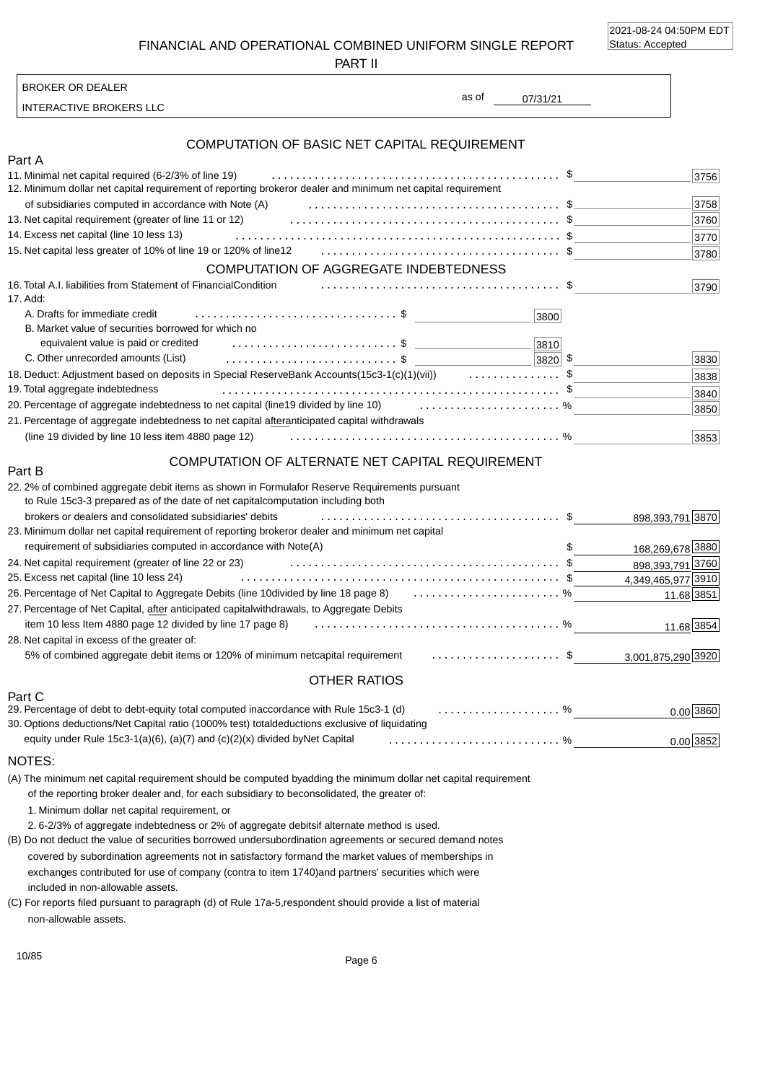2021-08-24 04:50PM EDT Status: Accepted

FINANCIAL AND OPERATIONAL COMBINED UNIFORM SINGLE REPORT

PART II

INTERACTIVE BROKERS LLC

BROKER OR DEALER

# COMPUTATION OF BASIC NET CAPITAL REQUIREMENT

| Part A                                                                                                                              |              |
|-------------------------------------------------------------------------------------------------------------------------------------|--------------|
| 11. Minimal net capital required (6-2/3% of line 19)                                                                                | 3756         |
| or dealer and minimum net capital requirement<br>12. Minimum dollar net capital requirement of reporting broker                     |              |
| of subsidiaries computed in accordance with Note (A)                                                                                | 3758         |
| 13. Net capital requirement (greater of line 11 or 12)                                                                              | 3760         |
| 14. Excess net capital (line 10 less 13)                                                                                            | 3770         |
|                                                                                                                                     | 3780         |
| <b>COMPUTATION OF AGGREGATE INDEBTEDNESS</b>                                                                                        |              |
| 16. Total A.I. liabilities from Statement of Financial Condition<br>17. Add:                                                        | 3790         |
| A. Drafts for immediate credit<br>3800                                                                                              |              |
| B. Market value of securities borrowed for which no                                                                                 |              |
| equivalent value is paid or credited<br>3810                                                                                        |              |
| C. Other unrecorded amounts (List)<br>3820                                                                                          | - \$<br>3830 |
| 18. Deduct: Adjustment based on deposits in Special Reserve Bank Accounts(15c3-1(c)(1)(vii))<br>. \$                                | 3838         |
| 19. Total aggregate indebtedness                                                                                                    | 3840         |
| 20. Percentage of aggregate indebtedness to net capital (line<br>19 divided by line 10) $\ldots \ldots \ldots \ldots \ldots \ldots$ | 3850         |
| 21. Percentage of aggregate indebtedness to net capital after<br>anticipated capital withdrawals                                    |              |
| (line 19 divided by line 10 less item 4880 page 12)                                                                                 | 3853         |

### COMPUTATION OF ALTERNATE NET CAPITAL REQUIREMENT

| 22.2% of combined aggregate debit items as shown in Formula<br>for Reserve Requirements pursuant<br>to Rule 15c3-3 prepared as of the date of net capital<br>computation including both |                    |
|-----------------------------------------------------------------------------------------------------------------------------------------------------------------------------------------|--------------------|
| brokers or dealers and consolidated subsidiaries' debits                                                                                                                                | 898,393,791 3870   |
| or dealer and minimum net capital<br>23. Minimum dollar net capital requirement of reporting broker                                                                                     |                    |
| requirement of subsidiaries computed in accordance with Note(A)                                                                                                                         | 168,269,678 3880   |
| 24. Net capital requirement (greater of line 22 or 23)                                                                                                                                  | 898,393,791 3760   |
| 25. Excess net capital (line 10 less 24)                                                                                                                                                | 4,349,465,977 3910 |
| 26. Percentage of Net Capital to Aggregate Debits (line 10 divided by line 18 page 8)  %                                                                                                | 11.68 3851         |
| withdrawals, to Aggregate Debits<br>27. Percentage of Net Capital, after anticipated capital                                                                                            |                    |
| item 10 less Item 4880 page 12 divided by line 17 page 8)                                                                                                                               | 11.68 3854         |
| 28. Net capital in excess of the greater of:                                                                                                                                            |                    |
| capital requirement \$<br>5% of combined aggregate debit items or 120% of minimum net                                                                                                   | 3,001,875,290 3920 |
| OTHER RATIOS                                                                                                                                                                            |                    |
| Part C                                                                                                                                                                                  |                    |
| O Derectors of debt is debt equity total computed in a coordense with Dule 150 1 (d)<br>$\Omega'$                                                                                       |                    |

| 29. Percentage of debt to debt-equity total computed in accordance with Rule 15c3-1 (d) %       | 0.00 3860   |
|-------------------------------------------------------------------------------------------------|-------------|
| 30. Options deductions/Net Capital ratio (1000% test) total deductions exclusive of liquidating |             |
|                                                                                                 | $0.00$ 3852 |

#### NOTES:

Part B

(A) The minimum net capital requirement should be computed by adding the minimum dollar net capital requirement of the reporting broker dealer and, for each subsidiary to be consolidated, the greater of:

1. Minimum dollar net capital requirement, or

2. 6-2/3% of aggregate indebtedness or 2% of aggregate debits if alternate method is used.

included in non-allowable assets. (B) Do not deduct the value of securities borrowed under subordination agreements or secured demand notes covered by subordination agreements not in satisfactory form and the market values of memberships in exchanges contributed for use of company (contra to item 1740) and partners' securities which were

non-allowable assets. (C) For reports filed pursuant to paragraph (d) of Rule 17a-5, respondent should provide a list of material

07/31/21 as of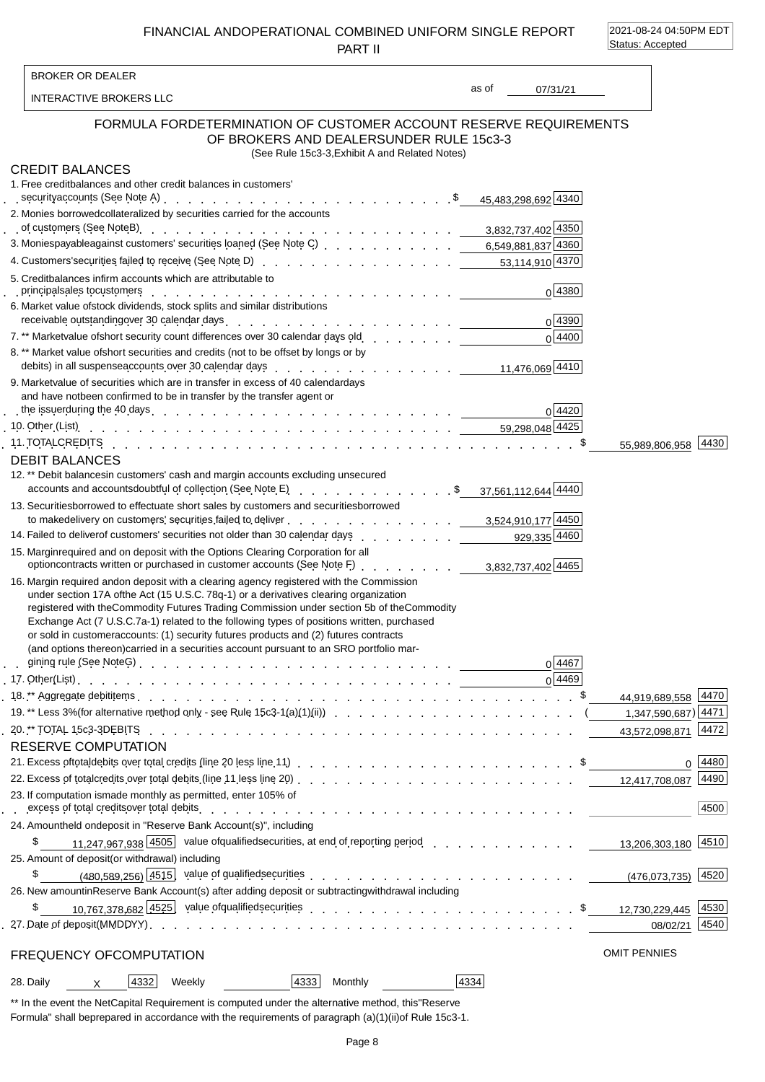FINANCIAL AND OPERATIONAL COMBINED UNIFORM SINGLE REPORT PART II

2021-08-24 04:50PM EDT Status: Accepted

| <b>BROKER OR DEALER</b>                                                                   |                                                                                                                                                                                                                                                                                                                                                                                                                                                                                                                                                                    |       |                |                     |                        |
|-------------------------------------------------------------------------------------------|--------------------------------------------------------------------------------------------------------------------------------------------------------------------------------------------------------------------------------------------------------------------------------------------------------------------------------------------------------------------------------------------------------------------------------------------------------------------------------------------------------------------------------------------------------------------|-------|----------------|---------------------|------------------------|
| INTERACTIVE BROKERS LLC                                                                   |                                                                                                                                                                                                                                                                                                                                                                                                                                                                                                                                                                    | as of | 07/31/21       |                     |                        |
|                                                                                           | FORMULA FOR DETERMINATION OF CUSTOMER ACCOUNT RESERVE REQUIREMENTS<br>OF BROKERS AND DEALERS UNDER RULE 15c3-3<br>(See Rule 15c3-3, Exhibit A and Related Notes)                                                                                                                                                                                                                                                                                                                                                                                                   |       |                |                     |                        |
| <b>CREDIT BALANCES</b><br>1. Free credit balances and other credit balances in customers' |                                                                                                                                                                                                                                                                                                                                                                                                                                                                                                                                                                    |       |                |                     |                        |
| 2. Monies borrowed collateralized by securities carried for the accounts                  | of customers (See Note B) $\therefore$ $\therefore$ $\therefore$ $\therefore$ $\therefore$ $\therefore$ $\therefore$ $\therefore$ $\therefore$ $\therefore$ $\therefore$ $\therefore$ $\therefore$ $\therefore$ $\therefore$ 3,832,737,402 4350                                                                                                                                                                                                                                                                                                                    |       |                |                     |                        |
|                                                                                           | 3. Monies payable against customers' securities loaned (See Note C) et al., al., al., al., et al., 6,549,881,837 4360                                                                                                                                                                                                                                                                                                                                                                                                                                              |       |                |                     |                        |
| 5. Credit balances in firm accounts which are attributable to                             | 4. Customers' securities failed to receive (See Note D) enter contact contact contact contact securities failed to receive (See Note D) enter contact contact contact contact 53,114,910 4370                                                                                                                                                                                                                                                                                                                                                                      |       |                |                     |                        |
| 6. Market value of stock dividends, stock splits and similar distributions                | principal sales to customers recover and contact to contact the contact of the contact of the contact of the contact of the contact of the contact of the contact of the contact of the contact of the contact of the contact                                                                                                                                                                                                                                                                                                                                      |       | 0 4380         |                     |                        |
|                                                                                           | receivable outstanding over 30 calendar days enter and a series of the series of the control of the series of                                                                                                                                                                                                                                                                                                                                                                                                                                                      |       | 0 4390         |                     |                        |
|                                                                                           | 7.** Market value of short security count differences over 30 calendar days old contact contact contact of the                                                                                                                                                                                                                                                                                                                                                                                                                                                     |       | $0\sqrt{4400}$ |                     |                        |
|                                                                                           | 8. ** Market value of short securities and credits (not to be offset by longs or by<br>debits) in all suspense accounts over 30 calendar days $\frac{1}{41.476,069}$ and $\frac{1}{41.476,069}$ $\frac{1}{4410}$                                                                                                                                                                                                                                                                                                                                                   |       |                |                     |                        |
| and have not been confirmed to be in transfer by the transfer agent or                    | 9. Market value of securities which are in transfer in excess of 40 calendar days                                                                                                                                                                                                                                                                                                                                                                                                                                                                                  |       |                |                     |                        |
|                                                                                           |                                                                                                                                                                                                                                                                                                                                                                                                                                                                                                                                                                    |       | 0 4420         |                     |                        |
|                                                                                           | 11. TOTAL CREDITS Research And The Case of Alling Case of Alling Case of Alling Case of Alling Case of Alling C                                                                                                                                                                                                                                                                                                                                                                                                                                                    |       |                |                     | 55,989,806,958 4430    |
| <b>DEBIT BALANCES</b>                                                                     |                                                                                                                                                                                                                                                                                                                                                                                                                                                                                                                                                                    |       |                |                     |                        |
|                                                                                           | 12.** Debit balances in customers' cash and margin accounts excluding unsecured<br>accounts and accounts doubtful of collection (See Note E)<br>accounts and accounts doubtful of collection (See Note E)                                                                                                                                                                                                                                                                                                                                                          |       |                |                     |                        |
|                                                                                           | 13. Securities borrowed to effectuate short sales by customers and securities borrowed<br>to make delivery on customers' securities failed to deliver et al. 3,524,910,177 4450                                                                                                                                                                                                                                                                                                                                                                                    |       |                |                     |                        |
|                                                                                           | 14. Failed to deliver of customers' securities not older than 30 calendar days 929,335 4460                                                                                                                                                                                                                                                                                                                                                                                                                                                                        |       |                |                     |                        |
|                                                                                           | 15. Margin required and on deposit with the Options Clearing Corporation for all<br>Margin required and on deposit with the Options Oreaning Corporation of all<br>option contracts written or purchased in customer accounts (See Note F) <u>. 3,832,737,402 4465</u>                                                                                                                                                                                                                                                                                             |       |                |                     |                        |
|                                                                                           | 16. Margin required and on deposit with a clearing agency registered with the Commission<br>under section 17A of the Act (15 U.S.C. 78q-1) or a derivatives clearing organization<br>registered with the Commodity Futures Trading Commission under section 5b of the Commodity<br>Exchange Act (7 U.S.C. 7a-1) related to the following types of positions written, purchased<br>or sold in customer accounts: (1) security futures products and (2) futures contracts<br>(and options thereon) carried in a securities account pursuant to an SRO portfolio mar- |       | 0 4467         |                     |                        |
|                                                                                           |                                                                                                                                                                                                                                                                                                                                                                                                                                                                                                                                                                    |       | 0 4469         |                     |                        |
|                                                                                           |                                                                                                                                                                                                                                                                                                                                                                                                                                                                                                                                                                    |       |                |                     | 44,919,689,558 4470    |
|                                                                                           |                                                                                                                                                                                                                                                                                                                                                                                                                                                                                                                                                                    |       |                |                     | 1,347,590,687) 4471    |
|                                                                                           |                                                                                                                                                                                                                                                                                                                                                                                                                                                                                                                                                                    |       |                |                     | 43,572,098,871 4472    |
| <b>RESERVE COMPUTATION</b>                                                                |                                                                                                                                                                                                                                                                                                                                                                                                                                                                                                                                                                    |       |                |                     |                        |
|                                                                                           |                                                                                                                                                                                                                                                                                                                                                                                                                                                                                                                                                                    |       |                |                     | 0  4480                |
| 23. If computation is made monthly as permitted, enter 105% of                            | 22. Excess of total credits over total debits (line 11 less line 20) et al. and a case of total credits over total debits (line 11 less line 20) contract contract contract contract control over 12,417,708,087                                                                                                                                                                                                                                                                                                                                                   |       |                |                     | 4490                   |
|                                                                                           | excess of total credits over total debits experience $\cdots$ and $\cdots$ and $\cdots$ are $\cdots$ and $\cdots$ are $\cdots$ and $\cdots$ are $\cdots$ and $\cdots$ are $\cdots$ and $\cdots$ are $\cdots$ and $\cdots$ are $\cdots$ and $\cdots$ are $\cdots$ and $\cdots$ ar                                                                                                                                                                                                                                                                                   |       |                |                     | 4500                   |
| 24. Amount held on deposit in "Reserve Bank Account(s)", including                        |                                                                                                                                                                                                                                                                                                                                                                                                                                                                                                                                                                    |       |                |                     |                        |
| \$                                                                                        | 11.247.967.938 4505 value of qualified securities, at end of reporting period contact and contact and the securities                                                                                                                                                                                                                                                                                                                                                                                                                                               |       |                |                     | 13,206,303,180 4510    |
| 25. Amount of deposit (or withdrawal) including                                           |                                                                                                                                                                                                                                                                                                                                                                                                                                                                                                                                                                    |       |                |                     |                        |
| \$                                                                                        | (480.589.256) 4515 value of qualified securities extending to the extended of the securities of the securities                                                                                                                                                                                                                                                                                                                                                                                                                                                     |       |                |                     | $(476, 073, 735)$ 4520 |
| \$                                                                                        | 26. New amount in Reserve Bank Account(s) after adding deposit or subtracting withdrawal including                                                                                                                                                                                                                                                                                                                                                                                                                                                                 |       |                |                     |                        |
|                                                                                           |                                                                                                                                                                                                                                                                                                                                                                                                                                                                                                                                                                    |       |                |                     | 4540<br>08/02/21       |
| FREQUENCY OF COMPUTATION                                                                  |                                                                                                                                                                                                                                                                                                                                                                                                                                                                                                                                                                    |       |                | <b>OMIT PENNIES</b> |                        |
| 4332<br>28. Daily<br>Weekly<br>$\times$                                                   | 4333 <br>Monthly                                                                                                                                                                                                                                                                                                                                                                                                                                                                                                                                                   | 4334  |                |                     |                        |
|                                                                                           |                                                                                                                                                                                                                                                                                                                                                                                                                                                                                                                                                                    |       |                |                     |                        |

\*\* In the event the Net Capital Requirement is computed under the alternative method, this "Reserve Formula" shall be prepared in accordance with the requirements of paragraph (a)(1)(ii) of Rule 15c3-1.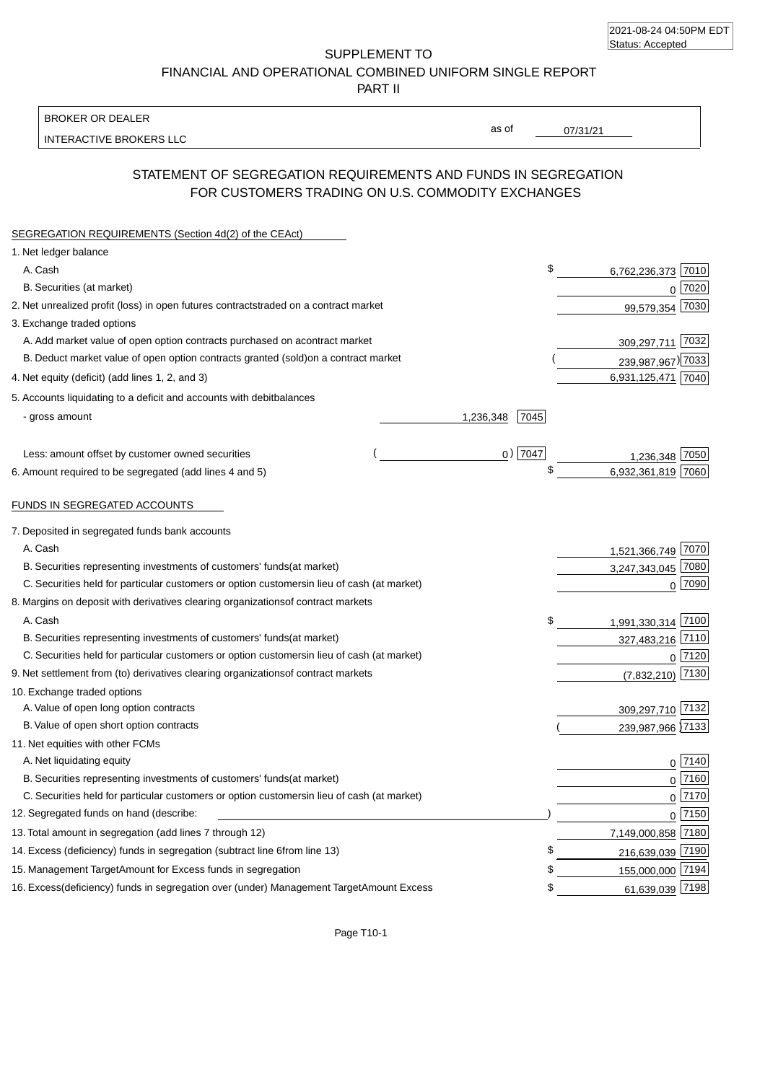| 2021-08-24 04:50PM EDT |  |
|------------------------|--|
| Status: Accepted       |  |

SUPPLEMENT TO FINANCIAL AND OPERATIONAL COMBINED UNIFORM SINGLE REPORT

PART II

### BROKER OR DEALER

INTERACTIVE BROKERS LLC

07/31/21

as of

## STATEMENT OF SEGREGATION REQUIREMENTS AND FUNDS IN SEGREGATION FOR CUSTOMERS TRADING ON U.S. COMMODITY EXCHANGES

| SEGREGATION REQUIREMENTS (Section 4d(2) of the CEAct)                                          |           |                       |      |
|------------------------------------------------------------------------------------------------|-----------|-----------------------|------|
| 1. Net ledger balance                                                                          |           |                       |      |
| A. Cash                                                                                        | \$        | 6,762,236,373         | 7010 |
| B. Securities (at market)                                                                      |           | 7020<br>0             |      |
| 2. Net unrealized profit (loss) in open futures contracts<br>traded on a contract market       |           | 7030<br>99,579,354    |      |
| 3. Exchange traded options                                                                     |           |                       |      |
| A. Add market value of open option contracts purchased on a<br>contract market                 |           | 7032<br>309,297,711   |      |
| B. Deduct market value of open option contracts granted (sold)<br>on a contract market         |           | 239,987,967) 7033     |      |
| 4. Net equity (deficit) (add lines 1, 2, and 3)                                                |           | 6,931,125,471 7040    |      |
| 5. Accounts liquidating to a deficit and accounts with debit<br>balances                       |           |                       |      |
| - gross amount<br>1,236,348                                                                    | 7045      |                       |      |
| Less: amount offset by customer owned securities                                               | $0)$ 7047 | 7050<br>1.236.348     |      |
| 6. Amount required to be segregated (add lines 4 and 5)                                        |           | 6,932,361,819<br>7060 |      |
| FUNDS IN SEGREGATED ACCOUNTS                                                                   |           |                       |      |
| 7. Deposited in segregated funds bank accounts                                                 |           |                       |      |
| A. Cash                                                                                        |           | 1,521,366,749 7070    |      |
| B. Securities representing investments of customers' funds<br>(at market)                      |           | 3,247,343,045 7080    |      |
| C. Securities held for particular customers or option customers<br>in lieu of cash (at market) |           | $0$ 7090              |      |
| 8. Margins on deposit with derivatives clearing organizations<br>of contract markets           |           |                       |      |
| A. Cash                                                                                        | \$        | 1,991,330,314 7100    |      |
| B. Securities representing investments of customers' funds<br>(at market)                      |           | 327,483,216 7110      |      |
| C. Securities held for particular customers or option customers<br>in lieu of cash (at market) |           | $0$  7120             |      |
| 9. Net settlement from (to) derivatives clearing organizations<br>of contract markets          |           | 7130<br>(7,832,210)   |      |
| 10. Exchange traded options                                                                    |           |                       |      |
| A. Value of open long option contracts                                                         |           | 309,297,710 7132      |      |
| B. Value of open short option contracts                                                        |           | 239,987,966 7133      |      |
| 11. Net equities with other FCMs                                                               |           |                       |      |
| A. Net liquidating equity                                                                      |           | $0$   $7140$          |      |
| B. Securities representing investments of customers' funds<br>(at market)                      |           | $0\sqrt{7160}$        |      |
| C. Securities held for particular customers or option customers<br>in lieu of cash (at market) |           | $0\sqrt{7170}$        |      |
| 12. Segregated funds on hand (describe:                                                        |           | $0$ 7150              |      |
| 13. Total amount in segregation (add lines 7 through 12)                                       |           | 7,149,000,858 7180    |      |
| 14. Excess (deficiency) funds in segregation (subtract line 6 from line 13)                    | \$        | 216,639,039 7190      |      |
| 15. Management Target Amount for Excess funds in segregation                                   | \$        | 155,000,000 7194      |      |
| 16. Excess (deficiency) funds in segregation over (under) Management Target Amount Excess      | \$        | 61,639,039 7198       |      |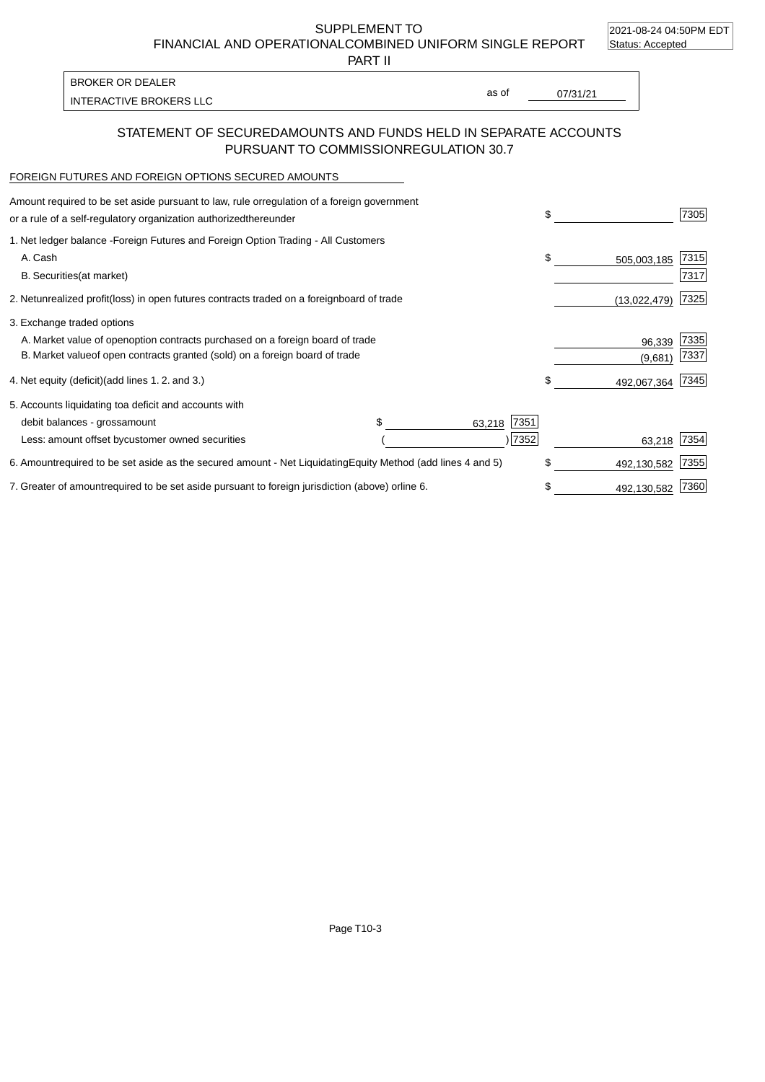2021-08-24 04:50PM EDT

SUPPLEMENT TO FINANCIAL AND OPERATIONAL COMBINED UNIFORM SINGLE REPORT Status: Accepted

PART II

INTERACTIVE BROKERS LLC and the control of the control of the control of the control of the control of the control of the control of the control of the control of the control of the control of the control of the control of BROKER OR DEALER

as of

### STATEMENT OF SECURED AMOUNTS AND FUNDS HELD IN SEPARATE ACCOUNTS PURSUANT TO COMMISSION REGULATION 30.7

#### FOREIGN FUTURES AND FOREIGN OPTIONS SECURED AMOUNTS

| Amount required to be set aside pursuant to law, rule or<br>regulation of a foreign government<br>or a rule of a self-regulatory organization authorized<br>thereunder |                                   | \$                | 7305 |
|------------------------------------------------------------------------------------------------------------------------------------------------------------------------|-----------------------------------|-------------------|------|
| 1. Net ledger balance - Foreign Futures and Foreign Option Trading - All Customers<br>A. Cash                                                                          |                                   | \$<br>505,003,185 | 7315 |
| <b>B.</b> Securities<br>(at market)                                                                                                                                    |                                   |                   | 7317 |
| 2. Net unrealized profit (loss) in open futures contracts traded on a foreign                                                                                          | board of trade                    | (13,022,479)      | 7325 |
| 3. Exchange traded options                                                                                                                                             |                                   |                   |      |
| A. Market value of open option contracts purchased on a foreign board of trade                                                                                         |                                   | 96,339            | 7335 |
| B. Market value of open contracts granted (sold) on a foreign board of trade                                                                                           |                                   | (9,681)           | 7337 |
| 4. Net equity (deficit) (add lines 1.2. and 3.)                                                                                                                        |                                   | \$<br>492,067,364 | 7345 |
| 5. Accounts liquidating to a deficit and accounts with                                                                                                                 |                                   |                   |      |
| debit balances - gross<br>amount                                                                                                                                       | 7351<br>63,218                    |                   |      |
| Less: amount offset by customer owned securities                                                                                                                       | 7352                              | 63,218            | 7354 |
| 6. Amount required to be set aside as the secured amount - Net Liquidating                                                                                             | Equity Method (add lines 4 and 5) | \$<br>492,130,582 | 7355 |
| 7. Greater of amount required to be set aside pursuant to foreign jurisdiction (above) or line 6.                                                                      |                                   | \$<br>492,130,582 | 7360 |

Page T10-3